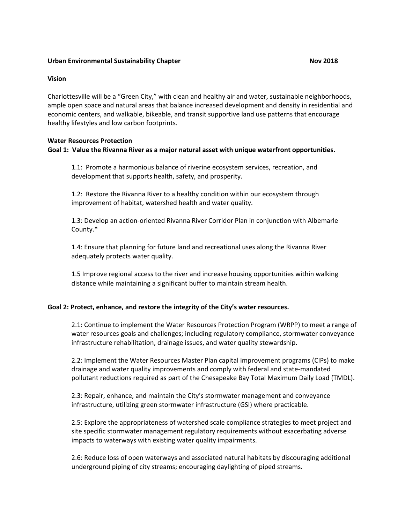# **Urban Environmental Sustainability Chapter Nova 2018** Nova 2018

#### **Vision**

Charlottesville will be a "Green City," with clean and healthy air and water, sustainable neighborhoods, ample open space and natural areas that balance increased development and density in residential and economic centers, and walkable, bikeable, and transit supportive land use patterns that encourage healthy lifestyles and low carbon footprints.

#### **Water Resources Protection**

## **Goal 1: Value the Rivanna River as a major natural asset with unique waterfront opportunities.**

1.1: Promote a harmonious balance of riverine ecosystem services, recreation, and development that supports health, safety, and prosperity.

1.2: Restore the Rivanna River to a healthy condition within our ecosystem through improvement of habitat, watershed health and water quality.

1.3: Develop an action-oriented Rivanna River Corridor Plan in conjunction with Albemarle County.\*

1.4: Ensure that planning for future land and recreational uses along the Rivanna River adequately protects water quality.

1.5 Improve regional access to the river and increase housing opportunities within walking distance while maintaining a significant buffer to maintain stream health.

## **Goal 2: Protect, enhance, and restore the integrity of the City's water resources.**

2.1: Continue to implement the Water Resources Protection Program (WRPP) to meet a range of water resources goals and challenges; including regulatory compliance, stormwater conveyance infrastructure rehabilitation, drainage issues, and water quality stewardship.

2.2: Implement the Water Resources Master Plan capital improvement programs (CIPs) to make drainage and water quality improvements and comply with federal and state-mandated pollutant reductions required as part of the Chesapeake Bay Total Maximum Daily Load (TMDL).

2.3: Repair, enhance, and maintain the City's stormwater management and conveyance infrastructure, utilizing green stormwater infrastructure (GSI) where practicable.

2.5: Explore the appropriateness of watershed scale compliance strategies to meet project and site specific stormwater management regulatory requirements without exacerbating adverse impacts to waterways with existing water quality impairments.

2.6: Reduce loss of open waterways and associated natural habitats by discouraging additional underground piping of city streams; encouraging daylighting of piped streams.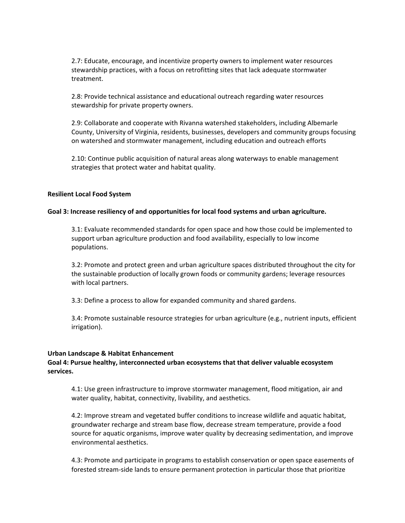2.7: Educate, encourage, and incentivize property owners to implement water resources stewardship practices, with a focus on retrofitting sites that lack adequate stormwater treatment.

2.8: Provide technical assistance and educational outreach regarding water resources stewardship for private property owners.

2.9: Collaborate and cooperate with Rivanna watershed stakeholders, including Albemarle County, University of Virginia, residents, businesses, developers and community groups focusing on watershed and stormwater management, including education and outreach efforts

2.10: Continue public acquisition of natural areas along waterways to enable management strategies that protect water and habitat quality.

## **Resilient Local Food System**

#### **Goal 3: Increase resiliency of and opportunities for local food systems and urban agriculture.**

3.1: Evaluate recommended standards for open space and how those could be implemented to support urban agriculture production and food availability, especially to low income populations.

3.2: Promote and protect green and urban agriculture spaces distributed throughout the city for the sustainable production of locally grown foods or community gardens; leverage resources with local partners.

3.3: Define a process to allow for expanded community and shared gardens.

3.4: Promote sustainable resource strategies for urban agriculture (e.g., nutrient inputs, efficient irrigation).

#### **Urban Landscape & Habitat Enhancement**

# **Goal 4: Pursue healthy, interconnected urban ecosystems that that deliver valuable ecosystem services.**

4.1: Use green infrastructure to improve stormwater management, flood mitigation, air and water quality, habitat, connectivity, livability, and aesthetics.

4.2: Improve stream and vegetated buffer conditions to increase wildlife and aquatic habitat, groundwater recharge and stream base flow, decrease stream temperature, provide a food source for aquatic organisms, improve water quality by decreasing sedimentation, and improve environmental aesthetics.

4.3: Promote and participate in programs to establish conservation or open space easements of forested stream-side lands to ensure permanent protection in particular those that prioritize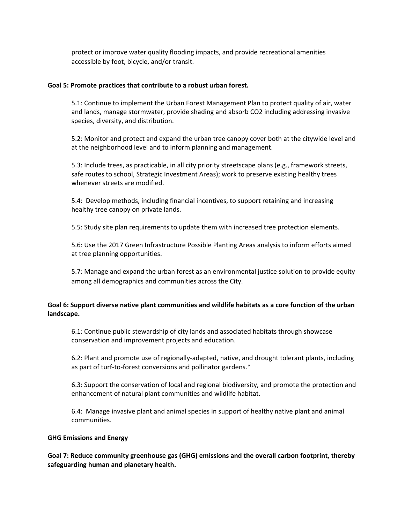protect or improve water quality flooding impacts, and provide recreational amenities accessible by foot, bicycle, and/or transit.

# **Goal 5: Promote practices that contribute to a robust urban forest.**

5.1: Continue to implement the Urban Forest Management Plan to protect quality of air, water and lands, manage stormwater, provide shading and absorb CO2 including addressing invasive species, diversity, and distribution.

5.2: Monitor and protect and expand the urban tree canopy cover both at the citywide level and at the neighborhood level and to inform planning and management.

5.3: Include trees, as practicable, in all city priority streetscape plans (e.g., framework streets, safe routes to school, Strategic Investment Areas); work to preserve existing healthy trees whenever streets are modified.

5.4: Develop methods, including financial incentives, to support retaining and increasing healthy tree canopy on private lands.

5.5: Study site plan requirements to update them with increased tree protection elements.

5.6: Use the 2017 Green Infrastructure Possible Planting Areas analysis to inform efforts aimed at tree planning opportunities.

5.7: Manage and expand the urban forest as an environmental justice solution to provide equity among all demographics and communities across the City.

# **Goal 6: Support diverse native plant communities and wildlife habitats as a core function of the urban landscape.**

6.1: Continue public stewardship of city lands and associated habitats through showcase conservation and improvement projects and education.

6.2: Plant and promote use of regionally-adapted, native, and drought tolerant plants, including as part of turf-to-forest conversions and pollinator gardens.\*

6.3: Support the conservation of local and regional biodiversity, and promote the protection and enhancement of natural plant communities and wildlife habitat.

6.4: Manage invasive plant and animal species in support of healthy native plant and animal communities.

## **GHG Emissions and Energy**

**Goal 7: Reduce community greenhouse gas (GHG) emissions and the overall carbon footprint, thereby safeguarding human and planetary health.**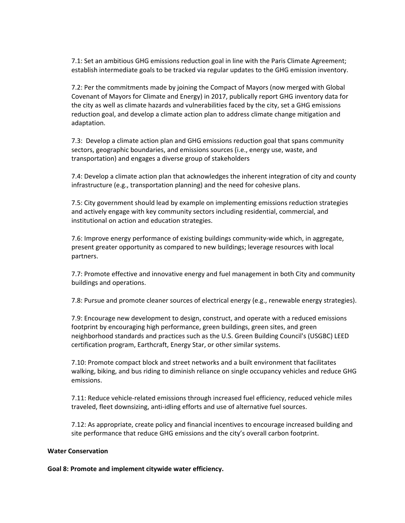7.1: Set an ambitious GHG emissions reduction goal in line with the Paris Climate Agreement; establish intermediate goals to be tracked via regular updates to the GHG emission inventory.

7.2: Per the commitments made by joining the Compact of Mayors (now merged with Global Covenant of Mayors for Climate and Energy) in 2017, publically report GHG inventory data for the city as well as climate hazards and vulnerabilities faced by the city, set a GHG emissions reduction goal, and develop a climate action plan to address climate change mitigation and adaptation.

7.3: Develop a climate action plan and GHG emissions reduction goal that spans community sectors, geographic boundaries, and emissions sources (i.e., energy use, waste, and transportation) and engages a diverse group of stakeholders

7.4: Develop a climate action plan that acknowledges the inherent integration of city and county infrastructure (e.g., transportation planning) and the need for cohesive plans.

7.5: City government should lead by example on implementing emissions reduction strategies and actively engage with key community sectors including residential, commercial, and institutional on action and education strategies.

7.6: Improve energy performance of existing buildings community-wide which, in aggregate, present greater opportunity as compared to new buildings; leverage resources with local partners.

7.7: Promote effective and innovative energy and fuel management in both City and community buildings and operations.

7.8: Pursue and promote cleaner sources of electrical energy (e.g., renewable energy strategies).

7.9: Encourage new development to design, construct, and operate with a reduced emissions footprint by encouraging high performance, green buildings, green sites, and green neighborhood standards and practices such as the U.S. Green Building Council's (USGBC) LEED certification program, Earthcraft, Energy Star, or other similar systems.

7.10: Promote compact block and street networks and a built environment that facilitates walking, biking, and bus riding to diminish reliance on single occupancy vehicles and reduce GHG emissions.

7.11: Reduce vehicle-related emissions through increased fuel efficiency, reduced vehicle miles traveled, fleet downsizing, anti-idling efforts and use of alternative fuel sources.

7.12: As appropriate, create policy and financial incentives to encourage increased building and site performance that reduce GHG emissions and the city's overall carbon footprint.

## **Water Conservation**

**Goal 8: Promote and implement citywide water efficiency.**